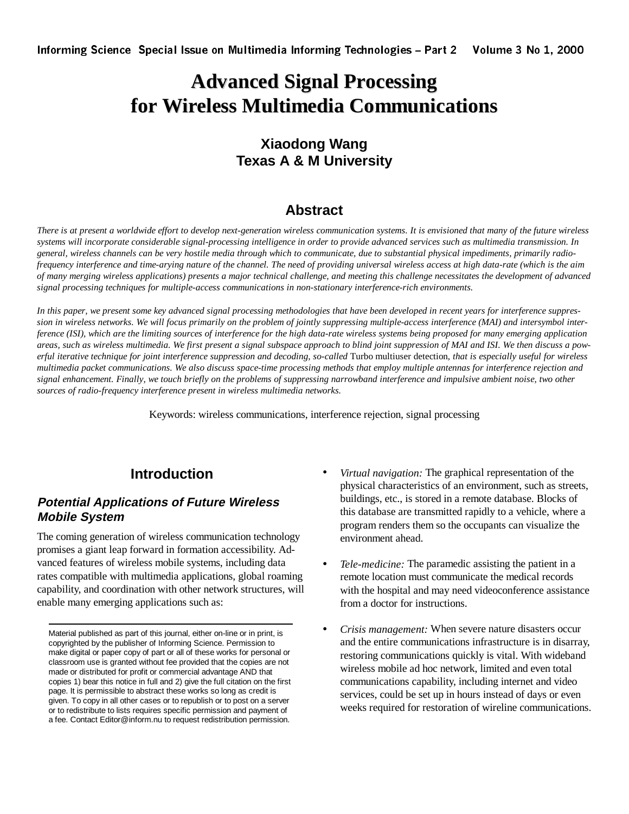# **Advanced Signal Processing for Wireless Multimedia Communications**

## **Xiaodong Wang Texas A & M University**

## **Abstract**

*There is at present a worldwide effort to develop next-generation wireless communication systems. It is envisioned that many of the future wireless systems will incorporate considerable signal-processing intelligence in order to provide advanced services such as multimedia transmission. In general, wireless channels can be very hostile media through which to communicate, due to substantial physical impediments, primarily radiofrequency interference and time-arying nature of the channel. The need of providing universal wireless access at high data-rate (which is the aim of many merging wireless applications) presents a major technical challenge, and meeting this challenge necessitates the development of advanced signal processing techniques for multiple-access communications in non-stationary interference-rich environments.* 

*In this paper, we present some key advanced signal processing methodologies that have been developed in recent years for interference suppression in wireless networks. We will focus primarily on the problem of jointly suppressing multiple-access interference (MAI) and intersymbol interference (ISI), which are the limiting sources of interference for the high data-rate wireless systems being proposed for many emerging application areas, such as wireless multimedia. We first present a signal subspace approach to blind joint suppression of MAI and ISI. We then discuss a powerful iterative technique for joint interference suppression and decoding, so-called* Turbo multiuser detection, *that is especially useful for wireless multimedia packet communications. We also discuss space-time processing methods that employ multiple antennas for interference rejection and signal enhancement. Finally, we touch briefly on the problems of suppressing narrowband interference and impulsive ambient noise, two other sources of radio-frequency interference present in wireless multimedia networks.* 

Keywords: wireless communications, interference rejection, signal processing

## **Introduction**

### **Potential Applications of Future Wireless Mobile System**

The coming generation of wireless communication technology promises a giant leap forward in formation accessibility. Advanced features of wireless mobile systems, including data rates compatible with multimedia applications, global roaming capability, and coordination with other network structures, will enable many emerging applications such as:

- *Virtual navigation:* The graphical representation of the physical characteristics of an environment, such as streets, buildings, etc., is stored in a remote database. Blocks of this database are transmitted rapidly to a vehicle, where a program renders them so the occupants can visualize the environment ahead.
- *Tele-medicine:* The paramedic assisting the patient in a remote location must communicate the medical records with the hospital and may need videoconference assistance from a doctor for instructions.
- *Crisis management:* When severe nature disasters occur and the entire communications infrastructure is in disarray, restoring communications quickly is vital. With wideband wireless mobile ad hoc network, limited and even total communications capability, including internet and video services, could be set up in hours instead of days or even weeks required for restoration of wireline communications.

Material published as part of this journal, either on-line or in print, is copyrighted by the publisher of Informing Science. Permission to make digital or paper copy of part or all of these works for personal or classroom use is granted without fee provided that the copies are not made or distributed for profit or commercial advantage AND that copies 1) bear this notice in full and 2) give the full citation on the first page. It is permissible to abstract these works so long as credit is given. To copy in all other cases or to republish or to post on a server or to redistribute to lists requires specific permission and payment of a fee. Contact Editor@inform.nu to request redistribution permission.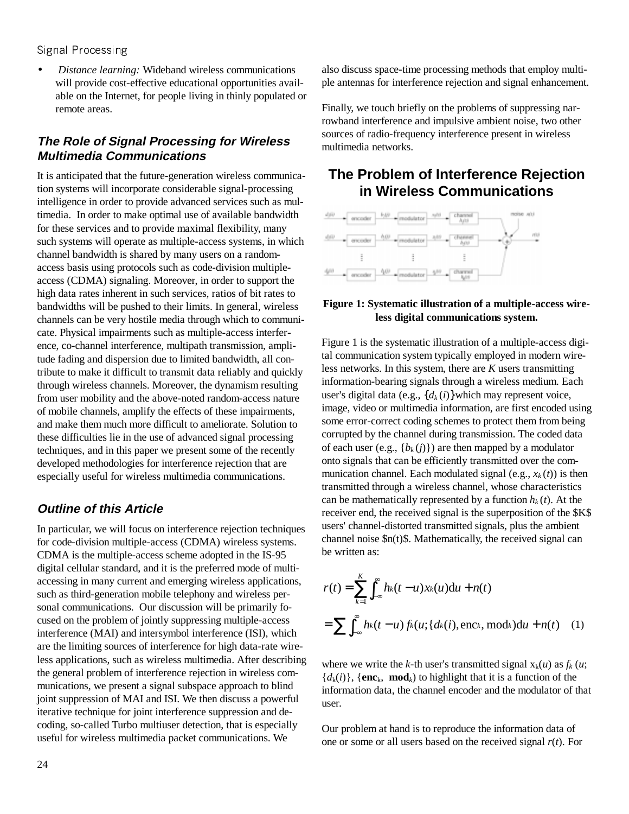• *Distance learning:* Wideband wireless communications will provide cost-effective educational opportunities available on the Internet, for people living in thinly populated or remote areas.

## **The Role of Signal Processing for Wireless Multimedia Communications**

It is anticipated that the future-generation wireless communication systems will incorporate considerable signal-processing intelligence in order to provide advanced services such as multimedia. In order to make optimal use of available bandwidth for these services and to provide maximal flexibility, many such systems will operate as multiple-access systems, in which channel bandwidth is shared by many users on a randomaccess basis using protocols such as code-division multipleaccess (CDMA) signaling. Moreover, in order to support the high data rates inherent in such services, ratios of bit rates to bandwidths will be pushed to their limits. In general, wireless channels can be very hostile media through which to communicate. Physical impairments such as multiple-access interference, co-channel interference, multipath transmission, amplitude fading and dispersion due to limited bandwidth, all contribute to make it difficult to transmit data reliably and quickly through wireless channels. Moreover, the dynamism resulting from user mobility and the above-noted random-access nature of mobile channels, amplify the effects of these impairments, and make them much more difficult to ameliorate. Solution to these difficulties lie in the use of advanced signal processing techniques, and in this paper we present some of the recently developed methodologies for interference rejection that are especially useful for wireless multimedia communications.

## **Outline of this Article**

In particular, we will focus on interference rejection techniques for code-division multiple-access (CDMA) wireless systems. CDMA is the multiple-access scheme adopted in the IS-95 digital cellular standard, and it is the preferred mode of multiaccessing in many current and emerging wireless applications, such as third-generation mobile telephony and wireless personal communications. Our discussion will be primarily focused on the problem of jointly suppressing multiple-access interference (MAI) and intersymbol interference (ISI), which are the limiting sources of interference for high data-rate wireless applications, such as wireless multimedia. After describing the general problem of interference rejection in wireless communications, we present a signal subspace approach to blind joint suppression of MAI and ISI. We then discuss a powerful iterative technique for joint interference suppression and decoding, so-called Turbo multiuser detection, that is especially useful for wireless multimedia packet communications. We

also discuss space-time processing methods that employ multiple antennas for interference rejection and signal enhancement.

Finally, we touch briefly on the problems of suppressing narrowband interference and impulsive ambient noise, two other sources of radio-frequency interference present in wireless multimedia networks.

## **The Problem of Interference Rejection in Wireless Communications**



#### **Figure 1: Systematic illustration of a multiple-access wireless digital communications system.**

Figure 1 is the systematic illustration of a multiple-access digital communication system typically employed in modern wireless networks. In this system, there are *K* users transmitting information-bearing signals through a wireless medium. Each user's digital data (e.g.,  $\{d_k(i)\}\$ which may represent voice, image, video or multimedia information, are first encoded using some error-correct coding schemes to protect them from being corrupted by the channel during transmission. The coded data of each user (e.g.,  ${b_k(i)}$ ) are then mapped by a modulator onto signals that can be efficiently transmitted over the communication channel. Each modulated signal (e.g.,  $x_k(t)$ ) is then transmitted through a wireless channel, whose characteristics can be mathematically represented by a function  $h_k(t)$ . At the receiver end, the received signal is the superposition of the \$K\$ users' channel-distorted transmitted signals, plus the ambient channel noise \$n(t)\$. Mathematically, the received signal can be written as:

$$
r(t) = \sum_{k=1}^{K} \int_{-\infty}^{\infty} h_k(t - u) x_k(u) \, \mathrm{d}u + n(t)
$$
\n
$$
= \sum \int_{-\infty}^{\infty} h_k(t - u) f_k(u; \{d_k(i), \text{enc}_k, \text{mod}_k\}) \, \mathrm{d}u + n(t) \quad (1)
$$

where we write the *k*-th user's transmitted signal  $x_k(u)$  as  $f_k(u)$ ;  ${d_k(i)}$ ,  ${enc_k, \textbf{mod}_k}$  to highlight that it is a function of the information data, the channel encoder and the modulator of that user.

Our problem at hand is to reproduce the information data of one or some or all users based on the received signal *r*(*t*). For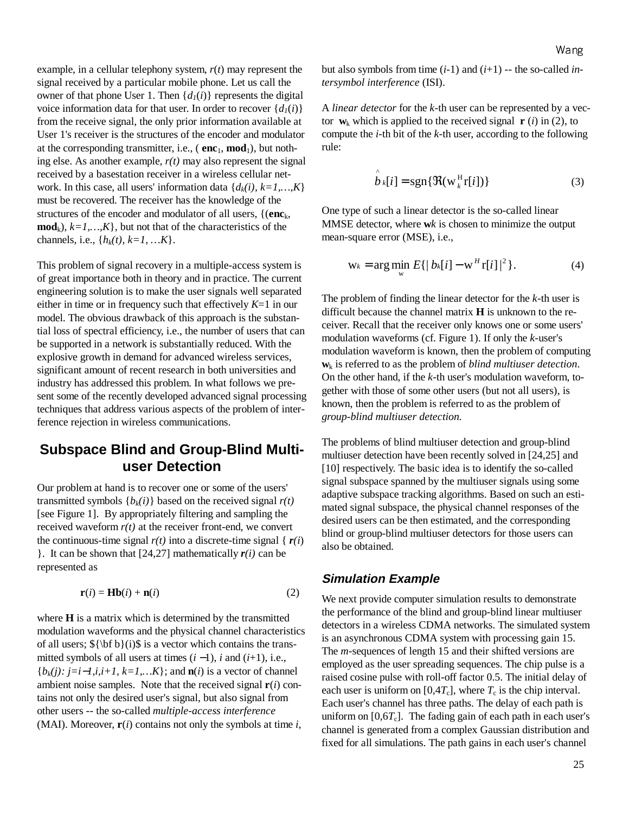example, in a cellular telephony system, *r*(*t*) may represent the signal received by a particular mobile phone. Let us call the owner of that phone User 1. Then  $\{d_1(i)\}\)$  represents the digital voice information data for that user. In order to recover  $\{d_1(i)\}$ from the receive signal, the only prior information available at User 1's receiver is the structures of the encoder and modulator at the corresponding transmitter, i.e.,  $(\mathbf{enc}_1, \mathbf{mod}_1)$ , but nothing else. As another example, *r(t)* may also represent the signal received by a basestation receiver in a wireless cellular network. In this case, all users' information data  $\{d_k(i), k=1,...,K\}$ must be recovered. The receiver has the knowledge of the structures of the encoder and modulator of all users, {(**enc**k,  $\textbf{mod}_k$ ,  $k=1,...,K$ , but not that of the characteristics of the channels, i.e.,  $\{h_k(t), k=1, ..., K\}$ .

This problem of signal recovery in a multiple-access system is of great importance both in theory and in practice. The current engineering solution is to make the user signals well separated either in time or in frequency such that effectively *K*=1 in our model. The obvious drawback of this approach is the substantial loss of spectral efficiency, i.e., the number of users that can be supported in a network is substantially reduced. With the explosive growth in demand for advanced wireless services, significant amount of recent research in both universities and industry has addressed this problem. In what follows we present some of the recently developed advanced signal processing techniques that address various aspects of the problem of interference rejection in wireless communications.

## **Subspace Blind and Group-Blind Multiuser Detection**

Our problem at hand is to recover one or some of the users' transmitted symbols  $\{b_k(i)\}\$  based on the received signal  $r(t)$ [see Figure 1]. By appropriately filtering and sampling the received waveform  $r(t)$  at the receiver front-end, we convert the continuous-time signal  $r(t)$  into a discrete-time signal { $r(i)$ } }. It can be shown that  $[24,27]$  mathematically  $r(i)$  can be represented as

$$
\mathbf{r}(i) = \mathbf{H}\mathbf{b}(i) + \mathbf{n}(i) \tag{2}
$$

where **H** is a matrix which is determined by the transmitted modulation waveforms and the physical channel characteristics of all users;  ${\bf b}(i)$  is a vector which contains the transmitted symbols of all users at times (*i* −1), *i* and (*i*+1), i.e., {*bk(j): j=i*−*1,i,i+1, k=1,…K*}; and **n**(*i*) is a vector of channel ambient noise samples. Note that the received signal **r**(*i*) contains not only the desired user's signal, but also signal from other users -- the so-called *multiple-access interference* (MAI). Moreover, **r**(*i*) contains not only the symbols at time *i*,

but also symbols from time  $(i-1)$  and  $(i+1)$  -- the so-called *intersymbol interference* (ISI).

A *linear detector* for the *k*-th user can be represented by a vector  $\mathbf{w}_k$  which is applied to the received signal  $\mathbf{r}$  (*i*) in (2), to compute the *i*-th bit of the *k*-th user, according to the following rule:

$$
\hat{b}_k[i] = \text{sgn}\{\mathfrak{R}(w_k^H r[i])\}\
$$
 (3)

One type of such a linear detector is the so-called linear MMSE detector, where **w***k* is chosen to minimize the output mean-square error (MSE), i.e.,

$$
w_k = \arg\min_{w} E\{|bk[i] - w^H r[i]|^2\}.
$$
 (4)

The problem of finding the linear detector for the *k*-th user is difficult because the channel matrix **H** is unknown to the receiver. Recall that the receiver only knows one or some users' modulation waveforms (cf. Figure 1). If only the *k*-user's modulation waveform is known, then the problem of computing **w**k is referred to as the problem of *blind multiuser detection*. On the other hand, if the *k*-th user's modulation waveform, together with those of some other users (but not all users), is known, then the problem is referred to as the problem of *group-blind multiuser detection.* 

The problems of blind multiuser detection and group-blind multiuser detection have been recently solved in [24,25] and [10] respectively. The basic idea is to identify the so-called signal subspace spanned by the multiuser signals using some adaptive subspace tracking algorithms. Based on such an estimated signal subspace, the physical channel responses of the desired users can be then estimated, and the corresponding blind or group-blind multiuser detectors for those users can also be obtained.

#### **Simulation Example**

We next provide computer simulation results to demonstrate the performance of the blind and group-blind linear multiuser detectors in a wireless CDMA networks. The simulated system is an asynchronous CDMA system with processing gain 15. The *m*-sequences of length 15 and their shifted versions are employed as the user spreading sequences. The chip pulse is a raised cosine pulse with roll-off factor 0.5. The initial delay of each user is uniform on  $[0,4T_c]$ , where  $T_c$  is the chip interval. Each user's channel has three paths. The delay of each path is uniform on  $[0.6T<sub>c</sub>]$ . The fading gain of each path in each user's channel is generated from a complex Gaussian distribution and fixed for all simulations. The path gains in each user's channel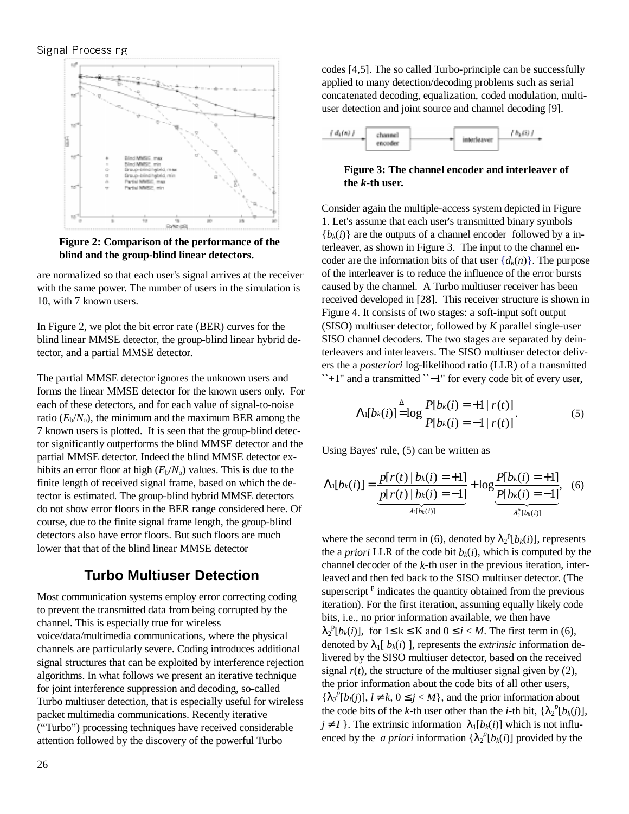

**Figure 2: Comparison of the performance of the blind and the group-blind linear detectors.** 

are normalized so that each user's signal arrives at the receiver with the same power. The number of users in the simulation is 10, with 7 known users.

In Figure 2, we plot the bit error rate (BER) curves for the blind linear MMSE detector, the group-blind linear hybrid detector, and a partial MMSE detector.

The partial MMSE detector ignores the unknown users and forms the linear MMSE detector for the known users only. For each of these detectors, and for each value of signal-to-noise ratio  $(E_b/N_o)$ , the minimum and the maximum BER among the 7 known users is plotted. It is seen that the group-blind detector significantly outperforms the blind MMSE detector and the partial MMSE detector. Indeed the blind MMSE detector exhibits an error floor at high  $(E_b/N_o)$  values. This is due to the finite length of received signal frame, based on which the detector is estimated. The group-blind hybrid MMSE detectors do not show error floors in the BER range considered here. Of course, due to the finite signal frame length, the group-blind detectors also have error floors. But such floors are much lower that that of the blind linear MMSE detector

## **Turbo Multiuser Detection**

Most communication systems employ error correcting coding to prevent the transmitted data from being corrupted by the channel. This is especially true for wireless voice/data/multimedia communications, where the physical channels are particularly severe. Coding introduces additional signal structures that can be exploited by interference rejection algorithms. In what follows we present an iterative technique for joint interference suppression and decoding, so-called Turbo multiuser detection, that is especially useful for wireless packet multimedia communications. Recently iterative ("Turbo") processing techniques have received considerable attention followed by the discovery of the powerful Turbo

codes [4,5]. The so called Turbo-principle can be successfully applied to many detection/decoding problems such as serial concatenated decoding, equalization, coded modulation, multiuser detection and joint source and channel decoding [9].



**Figure 3: The channel encoder and interleaver of the** *k***-th user.** 

Consider again the multiple-access system depicted in Figure 1. Let's assume that each user's transmitted binary symbols  ${b_k(i)}$  are the outputs of a channel encoder followed by a interleaver, as shown in Figure 3. The input to the channel encoder are the information bits of that user  $\{d_k(n)\}\)$ . The purpose of the interleaver is to reduce the influence of the error bursts caused by the channel. A Turbo multiuser receiver has been received developed in [28]. This receiver structure is shown in Figure 4. It consists of two stages: a soft-input soft output (SISO) multiuser detector, followed by *K* parallel single-user SISO channel decoders. The two stages are separated by deinterleavers and interleavers. The SISO multiuser detector delivers the a *posteriori* log-likelihood ratio (LLR) of a transmitted ``+1'' and a transmitted ``−1'' for every code bit of every user,

$$
\Lambda_1[b_k(i)] \stackrel{\Delta}{=} \log \frac{P[b_k(i) = +1 \mid r(t)]}{P[b_k(i) = -1 \mid r(t)]}.
$$
 (5)

Using Bayes' rule, (5) can be written as

$$
\Lambda_1[b_k(i)] = \underbrace{\frac{p[r(t) | b_k(i) = +1]}{p[r(t) | b_k(i) = -1]}}_{\lambda_1[b_k(i)]} + \log \underbrace{\frac{P[b_k(i) = +1]}{P[b_k(i) = -1]}}_{\lambda_2^p[b_k(i)]}, \quad (6)
$$

where the second term in (6), denoted by  $\lambda_2^{\text{P}}[b_k(i)]$ , represents the a *priori* LLR of the code bit  $b_k(i)$ , which is computed by the channel decoder of the *k*-th user in the previous iteration, interleaved and then fed back to the SISO multiuser detector. (The superscript  $P$  indicates the quantity obtained from the previous iteration). For the first iteration, assuming equally likely code bits, i.e., no prior information available, we then have  $\lambda_2^{\text{p}}[b_k(i)]$ , for  $1 \le k \le K$  and  $0 \le i \le M$ . The first term in (6), denoted by  $\lambda_1[v_k(i)]$ , represents the *extrinsic* information delivered by the SISO multiuser detector, based on the received signal  $r(t)$ , the structure of the multiuser signal given by  $(2)$ , the prior information about the code bits of all other users,  ${\lambda_2}^p[b_l(j)]$ ,  $l \neq k$ ,  $0 \leq j \leq M$ , and the prior information about the code bits of the *k*-th user other than the *i*-th bit,  $\{\lambda_2^p[b_k(j)]\}$ ,  $j \neq I$  }. The extrinsic information  $\lambda_1[b_k(i)]$  which is not influenced by the *a priori* information  $\{\lambda_2^p[b_k(i)]\}$  provided by the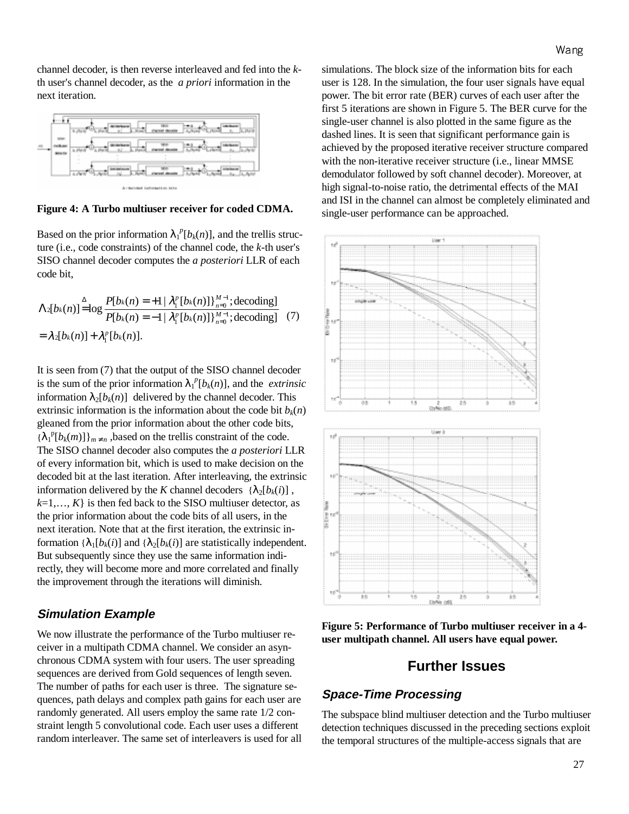channel decoder, is then reverse interleaved and fed into the *k*th user's channel decoder, as the *a priori* information in the next iteration.



**Figure 4: A Turbo multiuser receiver for coded CDMA.** 

Based on the prior information  $\lambda_1^{\ p}[b_k(n)]$ , and the trellis structure (i.e., code constraints) of the channel code, the *k*-th user's SISO channel decoder computes the *a posteriori* LLR of each code bit,

$$
\Lambda_2[b_k(n)] \stackrel{\Delta}{=} \log \frac{P[b_k(n) = +1 | \lambda_1^p [b_k(n)] \}_{n=0}^{M-1}; \text{decoding}]}{P[b_k(n) = -1 | \lambda_1^p [b_k(n)] \}_{n=0}^{M-1}; \text{decoding}] \quad (7)
$$

$$
= \lambda_2[b_k(n)] + \lambda_1^p [b_k(n)].
$$

It is seen from (7) that the output of the SISO channel decoder is the sum of the prior information  $\lambda_1^p[b_k(n)]$ , and the *extrinsic* information  $\lambda_2[b_k(n)]$  delivered by the channel decoder. This extrinsic information is the information about the code bit  $b_k(n)$ gleaned from the prior information about the other code bits,  ${\lambda_1}^p[b_k(m)]_{m \neq n}$ , based on the trellis constraint of the code. The SISO channel decoder also computes the *a posteriori* LLR of every information bit, which is used to make decision on the decoded bit at the last iteration. After interleaving, the extrinsic information delivered by the *K* channel decoders  $\{\lambda_2[b_k(i)]\}$ ,  $k=1,..., K$ } is then fed back to the SISO multiuser detector, as the prior information about the code bits of all users, in the next iteration. Note that at the first iteration, the extrinsic information  $\{\lambda_1[b_k(i)]\}$  and  $\{\lambda_2[b_k(i)]\}$  are statistically independent. But subsequently since they use the same information indirectly, they will become more and more correlated and finally the improvement through the iterations will diminish.

#### **Simulation Example**

We now illustrate the performance of the Turbo multiuser receiver in a multipath CDMA channel. We consider an asynchronous CDMA system with four users. The user spreading sequences are derived from Gold sequences of length seven. The number of paths for each user is three. The signature sequences, path delays and complex path gains for each user are randomly generated. All users employ the same rate 1/2 constraint length 5 convolutional code. Each user uses a different random interleaver. The same set of interleavers is used for all simulations. The block size of the information bits for each user is 128. In the simulation, the four user signals have equal power. The bit error rate (BER) curves of each user after the first 5 iterations are shown in Figure 5. The BER curve for the single-user channel is also plotted in the same figure as the dashed lines. It is seen that significant performance gain is achieved by the proposed iterative receiver structure compared with the non-iterative receiver structure (i.e., linear MMSE demodulator followed by soft channel decoder). Moreover, at high signal-to-noise ratio, the detrimental effects of the MAI and ISI in the channel can almost be completely eliminated and single-user performance can be approached.



**Figure 5: Performance of Turbo multiuser receiver in a 4 user multipath channel. All users have equal power.** 

### **Further Issues**

### **Space-Time Processing**

The subspace blind multiuser detection and the Turbo multiuser detection techniques discussed in the preceding sections exploit the temporal structures of the multiple-access signals that are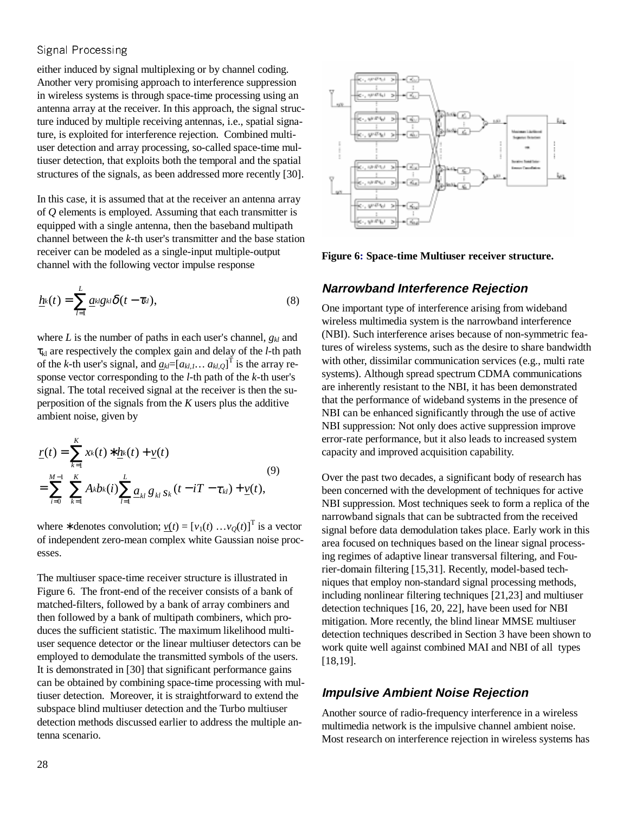either induced by signal multiplexing or by channel coding. Another very promising approach to interference suppression in wireless systems is through space-time processing using an antenna array at the receiver. In this approach, the signal structure induced by multiple receiving antennas, i.e., spatial signature, is exploited for interference rejection. Combined multiuser detection and array processing, so-called space-time multiuser detection, that exploits both the temporal and the spatial structures of the signals, as been addressed more recently [30].

In this case, it is assumed that at the receiver an antenna array of *Q* elements is employed. Assuming that each transmitter is equipped with a single antenna, then the baseband multipath channel between the *k*-th user's transmitter and the base station receiver can be modeled as a single-input multiple-output channel with the following vector impulse response

$$
\underline{h}\mathbf{k}(t) = \sum_{l=1}^{L} \underline{a}\mathbf{k}lg\mathbf{k}\delta(t-\tau_{kl}),
$$
\n(8)

where *L* is the number of paths in each user's channel, *gkl* and τkl are respectively the complex gain and delay of the *l-*th path of the *k*-th user's signal, and  $\underline{a_{kl}} = [a_{kl,1} \dots a_{kl,Q}]^T$  is the array response vector corresponding to the *l*-th path of the *k*-th user's signal. The total received signal at the receiver is then the superposition of the signals from the *K* users plus the additive ambient noise, given by

$$
\underline{r}(t) = \sum_{k=1}^{K} x_k(t) * \underline{h}_k(t) + \underline{v}(t)
$$
\n
$$
= \sum_{i=0}^{M-1} \sum_{k=1}^{K} A_k b_k(i) \sum_{l=1}^{L} \underline{a}_{kl} g_{kl} s_k(t - iT - \tau_{kl}) + \underline{v}(t),
$$
\n(9)

where \* denotes convolution;  $\underline{v}(t) = [v_1(t) \dots v_Q(t)]^T$  is a vector of independent zero-mean complex white Gaussian noise processes.

The multiuser space-time receiver structure is illustrated in Figure 6. The front-end of the receiver consists of a bank of matched-filters, followed by a bank of array combiners and then followed by a bank of multipath combiners, which produces the sufficient statistic. The maximum likelihood multiuser sequence detector or the linear multiuser detectors can be employed to demodulate the transmitted symbols of the users. It is demonstrated in [30] that significant performance gains can be obtained by combining space-time processing with multiuser detection. Moreover, it is straightforward to extend the subspace blind multiuser detection and the Turbo multiuser detection methods discussed earlier to address the multiple antenna scenario.



**Figure 6: Space-time Multiuser receiver structure.** 

#### **Narrowband Interference Rejection**

One important type of interference arising from wideband wireless multimedia system is the narrowband interference (NBI). Such interference arises because of non-symmetric features of wireless systems, such as the desire to share bandwidth with other, dissimilar communication services (e.g., multi rate systems). Although spread spectrum CDMA communications are inherently resistant to the NBI, it has been demonstrated that the performance of wideband systems in the presence of NBI can be enhanced significantly through the use of active NBI suppression: Not only does active suppression improve error-rate performance, but it also leads to increased system capacity and improved acquisition capability.

Over the past two decades, a significant body of research has been concerned with the development of techniques for active NBI suppression. Most techniques seek to form a replica of the narrowband signals that can be subtracted from the received signal before data demodulation takes place. Early work in this area focused on techniques based on the linear signal processing regimes of adaptive linear transversal filtering, and Fourier-domain filtering [15,31]. Recently, model-based techniques that employ non-standard signal processing methods, including nonlinear filtering techniques [21,23] and multiuser detection techniques [16, 20, 22], have been used for NBI mitigation. More recently, the blind linear MMSE multiuser detection techniques described in Section 3 have been shown to work quite well against combined MAI and NBI of all types [18,19].

#### **Impulsive Ambient Noise Rejection**

Another source of radio-frequency interference in a wireless multimedia network is the impulsive channel ambient noise. Most research on interference rejection in wireless systems has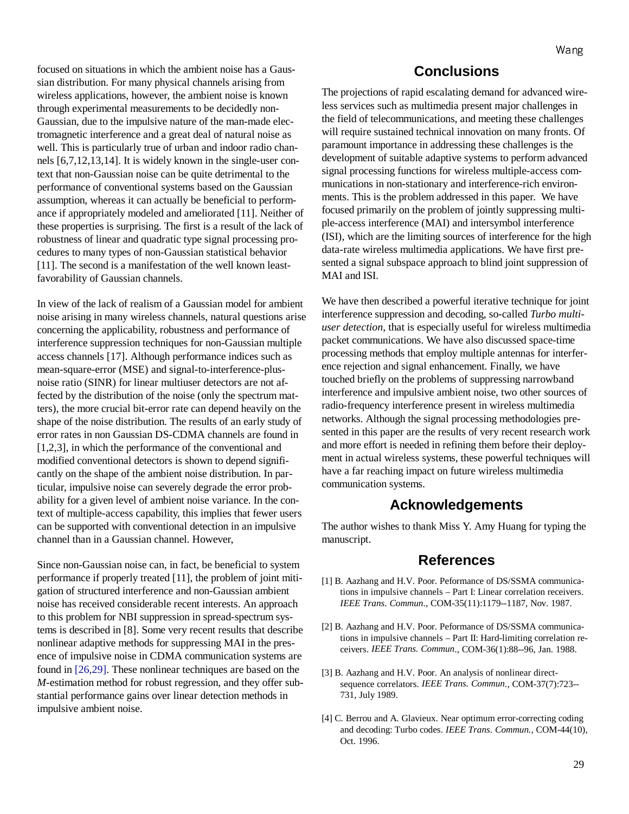focused on situations in which the ambient noise has a Gaussian distribution. For many physical channels arising from wireless applications, however, the ambient noise is known through experimental measurements to be decidedly non-Gaussian, due to the impulsive nature of the man-made electromagnetic interference and a great deal of natural noise as well. This is particularly true of urban and indoor radio channels [6,7,12,13,14]. It is widely known in the single-user context that non-Gaussian noise can be quite detrimental to the performance of conventional systems based on the Gaussian assumption, whereas it can actually be beneficial to performance if appropriately modeled and ameliorated [11]. Neither of these properties is surprising. The first is a result of the lack of robustness of linear and quadratic type signal processing procedures to many types of non-Gaussian statistical behavior [11]. The second is a manifestation of the well known leastfavorability of Gaussian channels.

In view of the lack of realism of a Gaussian model for ambient noise arising in many wireless channels, natural questions arise concerning the applicability, robustness and performance of interference suppression techniques for non-Gaussian multiple access channels [17]. Although performance indices such as mean-square-error (MSE) and signal-to-interference-plusnoise ratio (SINR) for linear multiuser detectors are not affected by the distribution of the noise (only the spectrum matters), the more crucial bit-error rate can depend heavily on the shape of the noise distribution. The results of an early study of error rates in non Gaussian DS-CDMA channels are found in [1,2,3], in which the performance of the conventional and modified conventional detectors is shown to depend significantly on the shape of the ambient noise distribution. In particular, impulsive noise can severely degrade the error probability for a given level of ambient noise variance. In the context of multiple-access capability, this implies that fewer users can be supported with conventional detection in an impulsive channel than in a Gaussian channel. However,

Since non-Gaussian noise can, in fact, be beneficial to system performance if properly treated [11], the problem of joint mitigation of structured interference and non-Gaussian ambient noise has received considerable recent interests. An approach to this problem for NBI suppression in spread-spectrum systems is described in [8]. Some very recent results that describe nonlinear adaptive methods for suppressing MAI in the presence of impulsive noise in CDMA communication systems are found in [26,29]. These nonlinear techniques are based on the *M*-estimation method for robust regression, and they offer substantial performance gains over linear detection methods in impulsive ambient noise.

## **Conclusions**

The projections of rapid escalating demand for advanced wireless services such as multimedia present major challenges in the field of telecommunications, and meeting these challenges will require sustained technical innovation on many fronts. Of paramount importance in addressing these challenges is the development of suitable adaptive systems to perform advanced signal processing functions for wireless multiple-access communications in non-stationary and interference-rich environments. This is the problem addressed in this paper. We have focused primarily on the problem of jointly suppressing multiple-access interference (MAI) and intersymbol interference (ISI), which are the limiting sources of interference for the high data-rate wireless multimedia applications. We have first presented a signal subspace approach to blind joint suppression of MAI and ISI.

We have then described a powerful iterative technique for joint interference suppression and decoding, so-called *Turbo multiuser detection*, that is especially useful for wireless multimedia packet communications. We have also discussed space-time processing methods that employ multiple antennas for interference rejection and signal enhancement. Finally, we have touched briefly on the problems of suppressing narrowband interference and impulsive ambient noise, two other sources of radio-frequency interference present in wireless multimedia networks. Although the signal processing methodologies presented in this paper are the results of very recent research work and more effort is needed in refining them before their deployment in actual wireless systems, these powerful techniques will have a far reaching impact on future wireless multimedia communication systems.

## **Acknowledgements**

The author wishes to thank Miss Y. Amy Huang for typing the manuscript.

## **References**

- [1] B. Aazhang and H.V. Poor. Peformance of DS/SSMA communications in impulsive channels – Part I: Linear correlation receivers. *IEEE Trans. Commun*., COM-35(11):1179--1187, Nov. 1987.
- [2] B. Aazhang and H.V. Poor. Peformance of DS/SSMA communications in impulsive channels – Part II: Hard-limiting correlation receivers. *IEEE Trans. Commun*., COM-36(1):88--96, Jan. 1988.
- [3] B. Aazhang and H.V. Poor. An analysis of nonlinear directsequence correlators. *IEEE Trans. Commun*., COM-37(7):723-- 731, July 1989.
- [4] C. Berrou and A. Glavieux. Near optimum error-correcting coding and decoding: Turbo codes. *IEEE Trans. Commun.*, COM-44(10), Oct. 1996.